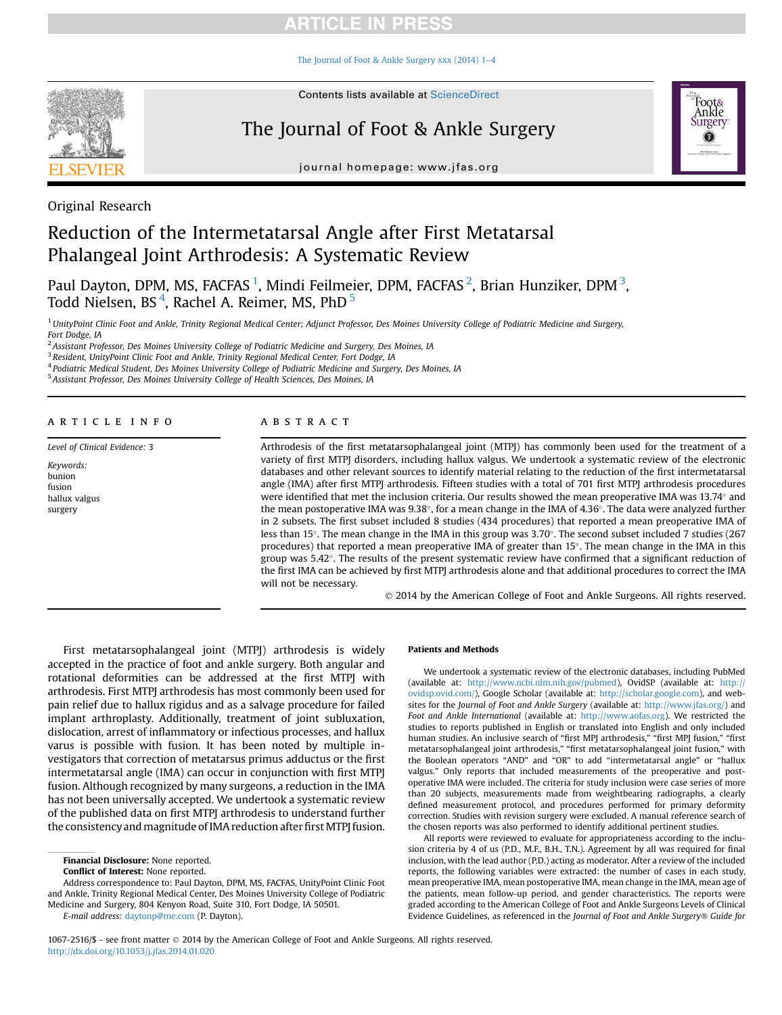# **ARTICLE IN PRESS**

[The Journal of Foot & Ankle Surgery xxx \(2014\) 1](http://dx.doi.org/10.1053/j.jfas.2014.01.020)–4



**Contents lists available at ScienceDirect** 

# The Journal of Foot & Ankle Surgery



journal homepage: [www.jfas.org](http://www.jfas.org)

Original Research

# Reduction of the Intermetatarsal Angle after First Metatarsal Phalangeal Joint Arthrodesis: A Systematic Review

Paul Dayton, DPM, MS, FACFAS  $^1$ , Mindi Feilmeier, DPM, FACFAS  $^2$ , Brian Hunziker, DPM  $^3$ , Todd Nielsen, BS $^4$ , Rachel A. Reimer, MS, PhD $^5$ 

<sup>1</sup> UnityPoint Clinic Foot and Ankle, Trinity Regional Medical Center; Adjunct Professor, Des Moines University College of Podiatric Medicine and Surgery, Fort Dodge, IA

 $2$  Assistant Professor, Des Moines University College of Podiatric Medicine and Surgery, Des Moines, IA

<sup>3</sup> Resident, UnityPoint Clinic Foot and Ankle, Trinity Regional Medical Center, Fort Dodge, IA

<sup>4</sup> Podiatric Medical Student, Des Moines University College of Podiatric Medicine and Surgery, Des Moines, IA

<sup>5</sup> Assistant Professor, Des Moines University College of Health Sciences, Des Moines, IA

### article info

Level of Clinical Evidence: 3

Keywords: bunion fusion hallux valgus surgery

### **ABSTRACT**

Arthrodesis of the first metatarsophalangeal joint (MTPJ) has commonly been used for the treatment of a variety of first MTPJ disorders, including hallux valgus. We undertook a systematic review of the electronic databases and other relevant sources to identify material relating to the reduction of the first intermetatarsal angle (IMA) after first MTPJ arthrodesis. Fifteen studies with a total of 701 first MTPJ arthrodesis procedures were identified that met the inclusion criteria. Our results showed the mean preoperative IMA was 13.74° and the mean postoperative IMA was  $9.38^{\circ}$ , for a mean change in the IMA of  $4.36^{\circ}$ . The data were analyzed further in 2 subsets. The first subset included 8 studies (434 procedures) that reported a mean preoperative IMA of less than 15°. The mean change in the IMA in this group was 3.70°. The second subset included 7 studies (267 procedures) that reported a mean preoperative IMA of greater than 15°. The mean change in the IMA in this group was  $5.42^\circ$ . The results of the present systematic review have confirmed that a significant reduction of the first IMA can be achieved by first MTPJ arthrodesis alone and that additional procedures to correct the IMA will not be necessary.

2014 by the American College of Foot and Ankle Surgeons. All rights reserved.

First metatarsophalangeal joint (MTPJ) arthrodesis is widely accepted in the practice of foot and ankle surgery. Both angular and rotational deformities can be addressed at the first MTPJ with arthrodesis. First MTPJ arthrodesis has most commonly been used for pain relief due to hallux rigidus and as a salvage procedure for failed implant arthroplasty. Additionally, treatment of joint subluxation, dislocation, arrest of inflammatory or infectious processes, and hallux varus is possible with fusion. It has been noted by multiple investigators that correction of metatarsus primus adductus or the first intermetatarsal angle (IMA) can occur in conjunction with first MTPJ fusion. Although recognized by many surgeons, a reduction in the IMA has not been universally accepted. We undertook a systematic review of the published data on first MTPJ arthrodesis to understand further the consistency and magnitude of IMA reduction after first MTPJ fusion.

Financial Disclosure: None reported.

Conflict of Interest: None reported.

Address correspondence to: Paul Dayton, DPM, MS, FACFAS, UnityPoint Clinic Foot and Ankle, Trinity Regional Medical Center, Des Moines University College of Podiatric Medicine and Surgery, 804 Kenyon Road, Suite 310, Fort Dodge, IA 50501.

E-mail address: [daytonp@me.com](mailto:daytonp@me.com) (P. Dayton).

#### Patients and Methods

We undertook a systematic review of the electronic databases, including PubMed (available at: [http://www.ncbi.nlm.nih.gov/pubmed\)](http://www.ncbi.nlm.nih.gov/pubmed), OvidSP (available at: [http://](http://ovidsp.ovid.com/) [ovidsp.ovid.com/](http://ovidsp.ovid.com/)), Google Scholar (available at: [http://scholar.google.com](http://scholar.google.com/)), and websites for the Journal of Foot and Ankle Surgery (available at: <http://www.jfas.org/>) and Foot and Ankle International (available at: [http://www.aofas.org](http://www.aofas.org/)). We restricted the studies to reports published in English or translated into English and only included human studies. An inclusive search of "first MPJ arthrodesis," "first MPJ fusion," "first metatarsophalangeal joint arthrodesis," "first metatarsophalangeal joint fusion," with the Boolean operators "AND" and "OR" to add "intermetatarsal angle" or "hallux valgus." Only reports that included measurements of the preoperative and postoperative IMA were included. The criteria for study inclusion were case series of more than 20 subjects, measurements made from weightbearing radiographs, a clearly defined measurement protocol, and procedures performed for primary deformity correction. Studies with revision surgery were excluded. A manual reference search of the chosen reports was also performed to identify additional pertinent studies.

All reports were reviewed to evaluate for appropriateness according to the inclusion criteria by 4 of us (P.D., M.F., B.H., T.N.). Agreement by all was required for final inclusion, with the lead author (P.D.) acting as moderator. After a review of the included reports, the following variables were extracted: the number of cases in each study, mean preoperative IMA, mean postoperative IMA, mean change in the IMA, mean age of the patients, mean follow-up period, and gender characteristics. The reports were graded according to the American College of Foot and Ankle Surgeons Levels of Clinical Evidence Guidelines, as referenced in the Journal of Foot and Ankle Surgery® Guide for

1067-2516/\$ - see front matter  $\circ$  2014 by the American College of Foot and Ankle Surgeons. All rights reserved. <http://dx.doi.org/10.1053/j.jfas.2014.01.020>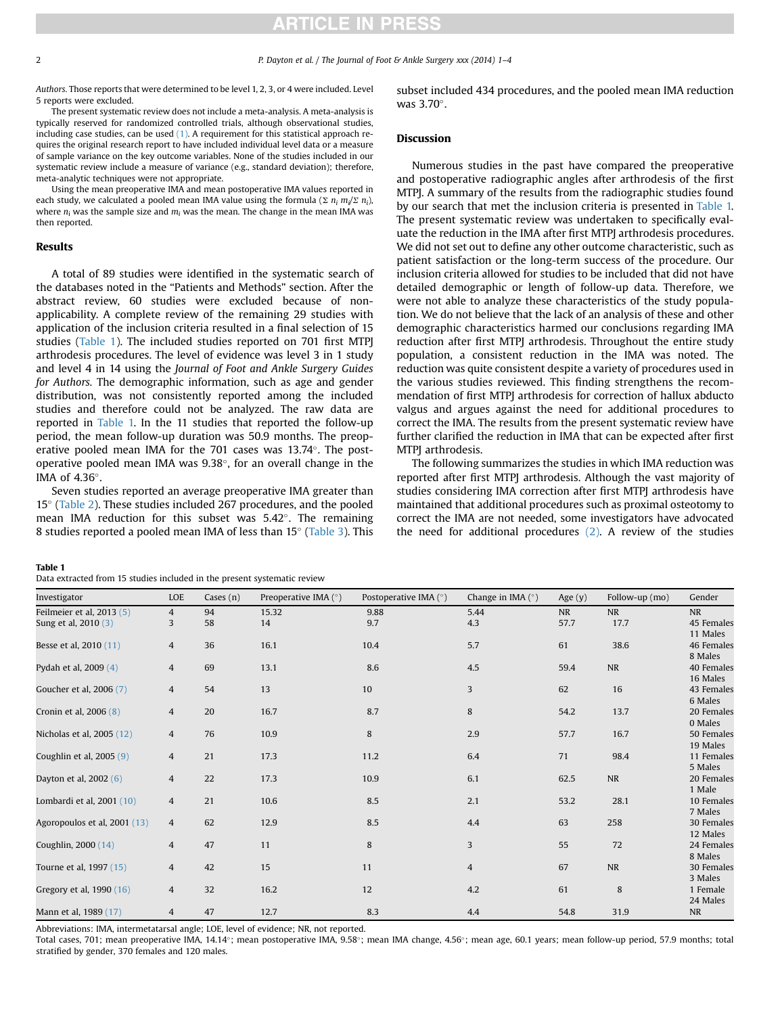<span id="page-1-0"></span>

Authors. Those reports that were determined to be level 1, 2, 3, or 4 were included. Level 5 reports were excluded.

The present systematic review does not include a meta-analysis. A meta-analysis is typically reserved for randomized controlled trials, although observational studies, including case studies, can be used  $(1)$ . A requirement for this statistical approach requires the original research report to have included individual level data or a measure of sample variance on the key outcome variables. None of the studies included in our systematic review include a measure of variance (e.g., standard deviation); therefore, meta-analytic techniques were not appropriate.

Using the mean preoperative IMA and mean postoperative IMA values reported in each study, we calculated a pooled mean IMA value using the formula  $(\Sigma n_i m_i / \Sigma n_i)$ , where  $n_i$  was the sample size and  $m_i$  was the mean. The change in the mean IMA was then reported.

### Results

A total of 89 studies were identified in the systematic search of the databases noted in the "Patients and Methods" section. After the abstract review, 60 studies were excluded because of nonapplicability. A complete review of the remaining 29 studies with application of the inclusion criteria resulted in a final selection of 15 studies (Table 1). The included studies reported on 701 first MTPJ arthrodesis procedures. The level of evidence was level 3 in 1 study and level 4 in 14 using the Journal of Foot and Ankle Surgery Guides for Authors. The demographic information, such as age and gender distribution, was not consistently reported among the included studies and therefore could not be analyzed. The raw data are reported in Table 1. In the 11 studies that reported the follow-up period, the mean follow-up duration was 50.9 months. The preoperative pooled mean IMA for the 701 cases was  $13.74^\circ$ . The postoperative pooled mean IMA was  $9.38^{\circ}$ , for an overall change in the IMA of  $4.36^\circ$ .

Seven studies reported an average preoperative IMA greater than  $15^{\circ}$  ([Table 2\)](#page-2-0). These studies included 267 procedures, and the pooled mean IMA reduction for this subset was  $5.42^{\circ}$ . The remaining 8 studies reported a pooled mean IMA of less than 15° [\(Table 3](#page-2-0)). This

#### Table 1

Data extracted from 15 studies included in the present systematic review

subset included 434 procedures, and the pooled mean IMA reduction was 3.70°.

### Discussion

Numerous studies in the past have compared the preoperative and postoperative radiographic angles after arthrodesis of the first MTPJ. A summary of the results from the radiographic studies found by our search that met the inclusion criteria is presented in Table 1. The present systematic review was undertaken to specifically evaluate the reduction in the IMA after first MTPJ arthrodesis procedures. We did not set out to define any other outcome characteristic, such as patient satisfaction or the long-term success of the procedure. Our inclusion criteria allowed for studies to be included that did not have detailed demographic or length of follow-up data. Therefore, we were not able to analyze these characteristics of the study population. We do not believe that the lack of an analysis of these and other demographic characteristics harmed our conclusions regarding IMA reduction after first MTPJ arthrodesis. Throughout the entire study population, a consistent reduction in the IMA was noted. The reduction was quite consistent despite a variety of procedures used in the various studies reviewed. This finding strengthens the recommendation of first MTPJ arthrodesis for correction of hallux abducto valgus and argues against the need for additional procedures to correct the IMA. The results from the present systematic review have further clarified the reduction in IMA that can be expected after first MTPJ arthrodesis.

The following summarizes the studies in which IMA reduction was reported after first MTPJ arthrodesis. Although the vast majority of studies considering IMA correction after first MTPJ arthrodesis have maintained that additional procedures such as proximal osteotomy to correct the IMA are not needed, some investigators have advocated the need for additional procedures  $(2)$ . A review of the studies

| Investigator                 | LOE            | Cases $(n)$ | Preoperative IMA (°) | Postoperative IMA $(°)$ | Change in IMA $(°)$ | Age $(y)$ | Follow-up (mo) | Gender                 |
|------------------------------|----------------|-------------|----------------------|-------------------------|---------------------|-----------|----------------|------------------------|
| Feilmeier et al, $2013(5)$   | $\overline{4}$ | 94          | 15.32                | 9.88                    | 5.44                | <b>NR</b> | <b>NR</b>      | <b>NR</b>              |
| Sung et al, 2010 (3)         | 3              | 58          | 14                   | 9.7                     | 4.3                 | 57.7      | 17.7           | 45 Females             |
|                              |                |             |                      |                         |                     |           |                | 11 Males               |
| Besse et al, 2010 (11)       | 4              | 36          | 16.1                 | 10.4                    | 5.7                 | 61        | 38.6           | 46 Females             |
|                              |                |             |                      |                         |                     |           |                | 8 Males                |
| Pydah et al, 2009 (4)        | 4              | 69          | 13.1                 | 8.6                     | 4.5                 | 59.4      | <b>NR</b>      | 40 Females             |
|                              |                |             |                      |                         |                     |           |                | 16 Males               |
| Goucher et al, 2006 (7)      | 4              | 54          | 13                   | 10                      | 3                   | 62        | 16             | 43 Females             |
|                              |                |             |                      |                         |                     |           |                | 6 Males                |
| Cronin et al, 2006 (8)       | $\overline{4}$ | 20          | 16.7                 | 8.7                     | 8                   | 54.2      | 13.7           | 20 Females             |
|                              |                |             |                      |                         |                     |           |                | 0 Males                |
| Nicholas et al, 2005 (12)    | 4              | 76          | 10.9                 | 8                       | 2.9                 | 57.7      | 16.7           | 50 Females             |
|                              |                | 21          | 17.3                 | 11.2                    | 6.4                 | 71        | 98.4           | 19 Males<br>11 Females |
| Coughlin et al, $2005(9)$    | 4              |             |                      |                         |                     |           |                | 5 Males                |
| Dayton et al, 2002 (6)       | $\overline{4}$ | 22          | 17.3                 | 10.9                    | 6.1                 | 62.5      | <b>NR</b>      | 20 Females             |
|                              |                |             |                      |                         |                     |           |                | 1 Male                 |
| Lombardi et al, 2001 (10)    | $\overline{4}$ | 21          | 10.6                 | 8.5                     | 2.1                 | 53.2      | 28.1           | 10 Females             |
|                              |                |             |                      |                         |                     |           |                | 7 Males                |
| Agoropoulos et al, 2001 (13) | 4              | 62          | 12.9                 | 8.5                     | 4.4                 | 63        | 258            | 30 Females             |
|                              |                |             |                      |                         |                     |           |                | 12 Males               |
| Coughlin, 2000 (14)          | $\overline{4}$ | 47          | 11                   | 8                       | 3                   | 55        | 72             | 24 Females             |
|                              |                |             |                      |                         |                     |           |                | 8 Males                |
| Tourne et al, 1997 (15)      | 4              | 42          | 15                   | 11                      | $\overline{4}$      | 67        | <b>NR</b>      | 30 Females             |
|                              |                |             |                      |                         |                     |           |                | 3 Males                |
| Gregory et al, 1990 (16)     | $\overline{4}$ | 32          | 16.2                 | 12                      | 4.2                 | 61        | 8              | 1 Female               |
|                              |                |             |                      |                         |                     |           |                | 24 Males               |
| Mann et al, 1989 (17)        | $\overline{4}$ | 47          | 12.7                 | 8.3                     | 4.4                 | 54.8      | 31.9           | <b>NR</b>              |

Abbreviations: IMA, intermetatarsal angle; LOE, level of evidence; NR, not reported.

Total cases, 701; mean preoperative IMA, 14.14°; mean postoperative IMA, 9.58°; mean IMA change, 4.56°; mean age, 60.1 years; mean follow-up period, 57.9 months; total stratified by gender, 370 females and 120 males.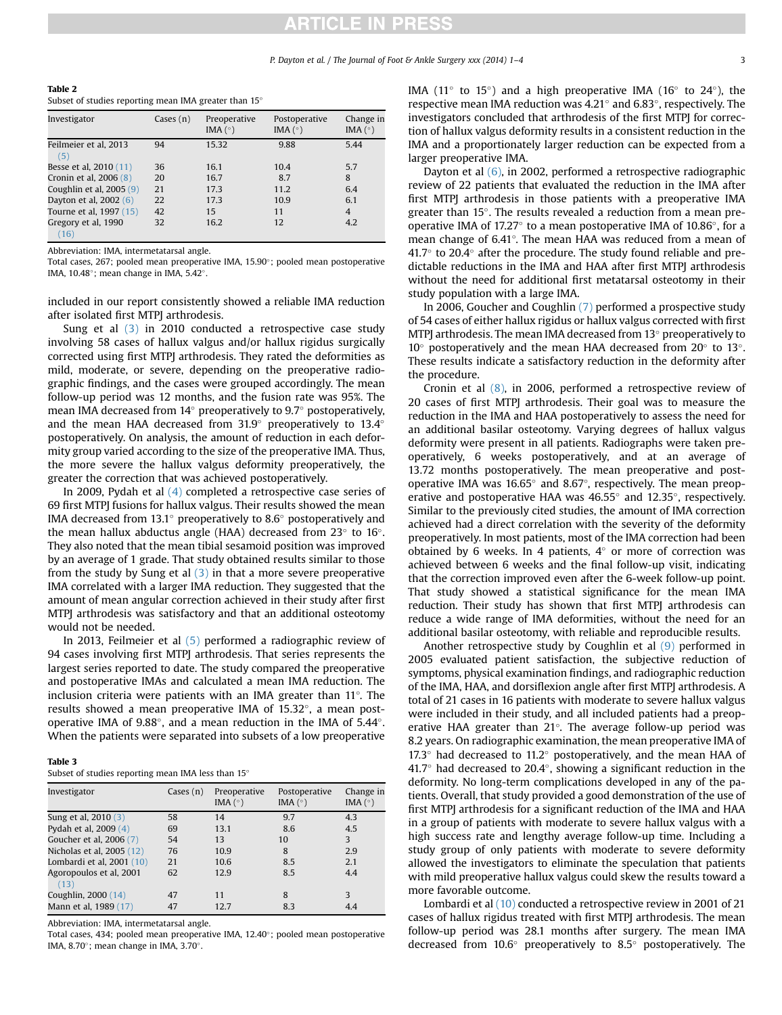### **ATICLE IN PRESS**

<span id="page-2-0"></span>

| Table 2                                               |
|-------------------------------------------------------|
| Subset of studies reporting mean IMA greater than 15° |
|                                                       |

| Investigator              | Cases $(n)$ | Preoperative<br>IMA $(°)$ | Postoperative<br>IMA $(°)$ | Change in<br>IMA $(°)$ |
|---------------------------|-------------|---------------------------|----------------------------|------------------------|
| Feilmeier et al, 2013     | 94          | 15.32                     | 9.88                       | 5.44                   |
| (5)                       |             |                           |                            |                        |
| Besse et al, 2010 (11)    | 36          | 16.1                      | 10.4                       | 5.7                    |
| Cronin et al, 2006 (8)    | 20          | 16.7                      | 8.7                        | 8                      |
| Coughlin et al, $2005(9)$ | 21          | 17.3                      | 11.2                       | 6.4                    |
| Dayton et al, 2002 (6)    | 22          | 17.3                      | 10.9                       | 6.1                    |
| Tourne et al, 1997 (15)   | 42          | 15                        | 11                         | $\overline{4}$         |
| Gregory et al, 1990       | 32          | 16.2                      | 12                         | 4.2                    |
| (16)                      |             |                           |                            |                        |

Abbreviation: IMA, intermetatarsal angle.

Total cases, 267; pooled mean preoperative IMA, 15.90°; pooled mean postoperative IMA, 10.48 $^{\circ}$ ; mean change in IMA, 5.42 $^{\circ}$ .

included in our report consistently showed a reliable IMA reduction after isolated first MTPJ arthrodesis.

Sung et al  $(3)$  in 2010 conducted a retrospective case study involving 58 cases of hallux valgus and/or hallux rigidus surgically corrected using first MTPJ arthrodesis. They rated the deformities as mild, moderate, or severe, depending on the preoperative radiographic findings, and the cases were grouped accordingly. The mean follow-up period was 12 months, and the fusion rate was 95%. The mean IMA decreased from  $14^{\circ}$  preoperatively to 9.7 $^{\circ}$  postoperatively, and the mean HAA decreased from  $31.9^{\circ}$  preoperatively to  $13.4^{\circ}$ postoperatively. On analysis, the amount of reduction in each deformity group varied according to the size of the preoperative IMA. Thus, the more severe the hallux valgus deformity preoperatively, the greater the correction that was achieved postoperatively.

In 2009, Pydah et al  $(4)$  completed a retrospective case series of 69 first MTPJ fusions for hallux valgus. Their results showed the mean IMA decreased from 13.1 $\degree$  preoperatively to 8.6 $\degree$  postoperatively and the mean hallux abductus angle (HAA) decreased from  $23^{\circ}$  to  $16^{\circ}$ . They also noted that the mean tibial sesamoid position was improved by an average of 1 grade. That study obtained results similar to those from the study by Sung et al  $(3)$  in that a more severe preoperative IMA correlated with a larger IMA reduction. They suggested that the amount of mean angular correction achieved in their study after first MTPJ arthrodesis was satisfactory and that an additional osteotomy would not be needed.

In 2013, Feilmeier et al [\(5\)](#page-3-0) performed a radiographic review of 94 cases involving first MTPJ arthrodesis. That series represents the largest series reported to date. The study compared the preoperative and postoperative IMAs and calculated a mean IMA reduction. The inclusion criteria were patients with an IMA greater than 11 . The results showed a mean preoperative IMA of  $15.32^{\circ}$ , a mean postoperative IMA of  $9.88^{\circ}$ , and a mean reduction in the IMA of  $5.44^{\circ}$ . When the patients were separated into subsets of a low preoperative

#### Table 3

Subset of studies reporting mean IMA less than 15°

| Investigator                    | Cases $(n)$ | Preoperative<br>IMA $(^\circ)$ | Postoperative<br>IMA $(^\circ)$ | Change in<br>IMA $(^\circ)$ |
|---------------------------------|-------------|--------------------------------|---------------------------------|-----------------------------|
| Sung et al, 2010 (3)            | 58          | 14                             | 9.7                             | 4.3                         |
| Pydah et al, 2009 (4)           | 69          | 13.1                           | 8.6                             | 4.5                         |
| Goucher et al, 2006 (7)         | 54          | 13                             | 10                              | 3                           |
| Nicholas et al, 2005 (12)       | 76          | 10.9                           | 8                               | 2.9                         |
| Lombardi et al, 2001 (10)       | 21          | 10.6                           | 8.5                             | 2.1                         |
| Agoropoulos et al, 2001<br>(13) | 62          | 12.9                           | 8.5                             | 4.4                         |
| Coughlin, 2000 (14)             | 47          | 11                             | 8                               | 3                           |
| Mann et al, 1989 (17)           | 47          | 12.7                           | 8.3                             | 4.4                         |

Abbreviation: IMA, intermetatarsal angle.

Total cases, 434; pooled mean preoperative IMA, 12.40°; pooled mean postoperative IMA, 8.70 $^{\circ}$ ; mean change in IMA, 3.70 $^{\circ}$ .

IMA (11 $\degree$  to 15 $\degree$ ) and a high preoperative IMA (16 $\degree$  to 24 $\degree$ ), the respective mean IMA reduction was  $4.21^{\circ}$  and  $6.83^{\circ}$ , respectively. The investigators concluded that arthrodesis of the first MTPJ for correction of hallux valgus deformity results in a consistent reduction in the IMA and a proportionately larger reduction can be expected from a larger preoperative IMA.

Dayton et al [\(6\),](#page-3-0) in 2002, performed a retrospective radiographic review of 22 patients that evaluated the reduction in the IMA after first MTPJ arthrodesis in those patients with a preoperative IMA greater than  $15^\circ$ . The results revealed a reduction from a mean preoperative IMA of 17.27 $\degree$  to a mean postoperative IMA of 10.86 $\degree$ , for a mean change of 6.41 . The mean HAA was reduced from a mean of 41.7 $\degree$  to 20.4 $\degree$  after the procedure. The study found reliable and predictable reductions in the IMA and HAA after first MTPJ arthrodesis without the need for additional first metatarsal osteotomy in their study population with a large IMA.

In 2006, Goucher and Coughlin [\(7\)](#page-3-0) performed a prospective study of 54 cases of either hallux rigidus or hallux valgus corrected with first MTPJ arthrodesis. The mean IMA decreased from  $13^\circ$  preoperatively to  $10^{\circ}$  postoperatively and the mean HAA decreased from  $20^{\circ}$  to  $13^{\circ}$ . These results indicate a satisfactory reduction in the deformity after the procedure.

Cronin et al  $(8)$ , in 2006, performed a retrospective review of 20 cases of first MTPJ arthrodesis. Their goal was to measure the reduction in the IMA and HAA postoperatively to assess the need for an additional basilar osteotomy. Varying degrees of hallux valgus deformity were present in all patients. Radiographs were taken preoperatively, 6 weeks postoperatively, and at an average of 13.72 months postoperatively. The mean preoperative and postoperative IMA was 16.65 $^{\circ}$  and 8.67 $^{\circ}$ , respectively. The mean preoperative and postoperative HAA was  $46.55^{\circ}$  and  $12.35^{\circ}$ , respectively. Similar to the previously cited studies, the amount of IMA correction achieved had a direct correlation with the severity of the deformity preoperatively. In most patients, most of the IMA correction had been obtained by 6 weeks. In 4 patients,  $4^\circ$  or more of correction was achieved between 6 weeks and the final follow-up visit, indicating that the correction improved even after the 6-week follow-up point. That study showed a statistical significance for the mean IMA reduction. Their study has shown that first MTPJ arthrodesis can reduce a wide range of IMA deformities, without the need for an additional basilar osteotomy, with reliable and reproducible results.

Another retrospective study by Coughlin et al [\(9\)](#page-3-0) performed in 2005 evaluated patient satisfaction, the subjective reduction of symptoms, physical examination findings, and radiographic reduction of the IMA, HAA, and dorsiflexion angle after first MTPJ arthrodesis. A total of 21 cases in 16 patients with moderate to severe hallux valgus were included in their study, and all included patients had a preoperative HAA greater than 21 . The average follow-up period was 8.2 years. On radiographic examination, the mean preoperative IMA of 17.3 $\degree$  had decreased to 11.2 $\degree$  postoperatively, and the mean HAA of 41.7 $\degree$  had decreased to 20.4 $\degree$ , showing a significant reduction in the deformity. No long-term complications developed in any of the patients. Overall, that study provided a good demonstration of the use of first MTPJ arthrodesis for a significant reduction of the IMA and HAA in a group of patients with moderate to severe hallux valgus with a high success rate and lengthy average follow-up time. Including a study group of only patients with moderate to severe deformity allowed the investigators to eliminate the speculation that patients with mild preoperative hallux valgus could skew the results toward a more favorable outcome.

Lombardi et al [\(10\)](#page-3-0) conducted a retrospective review in 2001 of 21 cases of hallux rigidus treated with first MTPJ arthrodesis. The mean follow-up period was 28.1 months after surgery. The mean IMA decreased from  $10.6^{\circ}$  preoperatively to  $8.5^{\circ}$  postoperatively. The